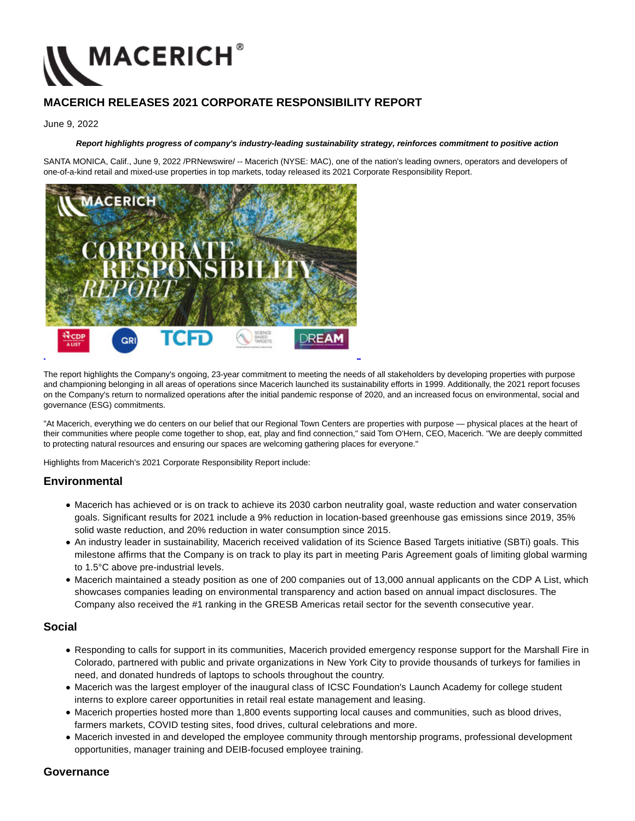

# **MACERICH RELEASES 2021 CORPORATE RESPONSIBILITY REPORT**

#### June 9, 2022

### **Report highlights progress of company's industry-leading sustainability strategy, reinforces commitment to positive action**

SANTA MONICA, Calif., June 9, 2022 /PRNewswire/ -- Macerich (NYSE: MAC), one of the nation's leading owners, operators and developers of one-of-a-kind retail and mixed-use properties in top markets, today released its 2021 Corporate Responsibility Report.



The report highlights the Company's ongoing, 23-year commitment to meeting the needs of all stakeholders by developing properties with purpose and championing belonging in all areas of operations since Macerich launched its sustainability efforts in 1999. Additionally, the 2021 report focuses on the Company's return to normalized operations after the initial pandemic response of 2020, and an increased focus on environmental, social and governance (ESG) commitments.

"At Macerich, everything we do centers on our belief that our Regional Town Centers are properties with purpose — physical places at the heart of their communities where people come together to shop, eat, play and find connection," said Tom O'Hern, CEO, Macerich. "We are deeply committed to protecting natural resources and ensuring our spaces are welcoming gathering places for everyone."

Highlights from Macerich's 2021 Corporate Responsibility Report include:

### **Environmental**

- Macerich has achieved or is on track to achieve its 2030 carbon neutrality goal, waste reduction and water conservation goals. Significant results for 2021 include a 9% reduction in location-based greenhouse gas emissions since 2019, 35% solid waste reduction, and 20% reduction in water consumption since 2015.
- An industry leader in sustainability, Macerich received validation of its Science Based Targets initiative (SBTi) goals. This milestone affirms that the Company is on track to play its part in meeting Paris Agreement goals of limiting global warming to 1.5°C above pre-industrial levels.
- Macerich maintained a steady position as one of 200 companies out of 13,000 annual applicants on the CDP A List, which showcases companies leading on environmental transparency and action based on annual impact disclosures. The Company also received the #1 ranking in the GRESB Americas retail sector for the seventh consecutive year.

### **Social**

- Responding to calls for support in its communities, Macerich provided emergency response support for the Marshall Fire in Colorado, partnered with public and private organizations in New York City to provide thousands of turkeys for families in need, and donated hundreds of laptops to schools throughout the country.
- Macerich was the largest employer of the inaugural class of ICSC Foundation's Launch Academy for college student interns to explore career opportunities in retail real estate management and leasing.
- Macerich properties hosted more than 1,800 events supporting local causes and communities, such as blood drives, farmers markets, COVID testing sites, food drives, cultural celebrations and more.
- Macerich invested in and developed the employee community through mentorship programs, professional development opportunities, manager training and DEIB-focused employee training.

### **Governance**